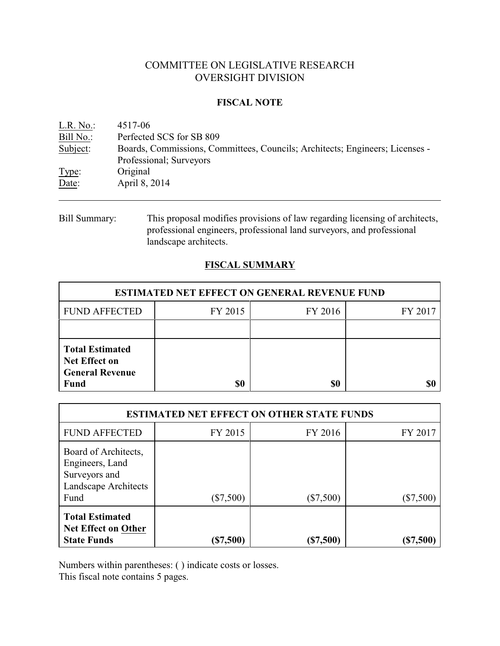# COMMITTEE ON LEGISLATIVE RESEARCH OVERSIGHT DIVISION

#### **FISCAL NOTE**

| L.R. No.  | 4517-06                                                                      |
|-----------|------------------------------------------------------------------------------|
| Bill No.: | Perfected SCS for SB 809                                                     |
| Subject:  | Boards, Commissions, Committees, Councils; Architects; Engineers; Licenses - |
|           | Professional; Surveyors                                                      |
| Type:     | Original                                                                     |
| Date:     | April 8, 2014                                                                |
|           |                                                                              |

Bill Summary: This proposal modifies provisions of law regarding licensing of architects, professional engineers, professional land surveyors, and professional landscape architects.

## **FISCAL SUMMARY**

| <b>ESTIMATED NET EFFECT ON GENERAL REVENUE FUND</b>                              |         |         |         |  |
|----------------------------------------------------------------------------------|---------|---------|---------|--|
| <b>FUND AFFECTED</b>                                                             | FY 2015 | FY 2016 | FY 2017 |  |
|                                                                                  |         |         |         |  |
| <b>Total Estimated</b><br>Net Effect on<br><b>General Revenue</b><br><b>Fund</b> | SO      | \$0     |         |  |

| <b>ESTIMATED NET EFFECT ON OTHER STATE FUNDS</b>                                         |             |             |             |  |
|------------------------------------------------------------------------------------------|-------------|-------------|-------------|--|
| <b>FUND AFFECTED</b>                                                                     | FY 2015     | FY 2016     | FY 2017     |  |
| Board of Architects,<br>Engineers, Land<br>Surveyors and<br>Landscape Architects<br>Fund | $(\$7,500)$ | $(\$7,500)$ | $(\$7,500)$ |  |
| <b>Total Estimated</b><br><b>Net Effect on Other</b><br><b>State Funds</b>               | (\$7,500)   | (\$7,500)   | \$7,500     |  |

Numbers within parentheses: ( ) indicate costs or losses.

This fiscal note contains 5 pages.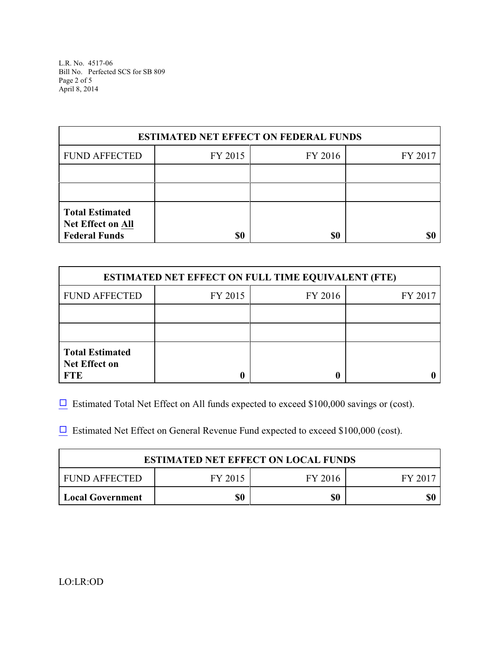L.R. No. 4517-06 Bill No. Perfected SCS for SB 809 Page 2 of 5 April 8, 2014

| <b>ESTIMATED NET EFFECT ON FEDERAL FUNDS</b>                        |         |         |         |  |
|---------------------------------------------------------------------|---------|---------|---------|--|
| <b>FUND AFFECTED</b>                                                | FY 2015 | FY 2016 | FY 2017 |  |
|                                                                     |         |         |         |  |
|                                                                     |         |         |         |  |
| <b>Total Estimated</b><br>Net Effect on All<br><b>Federal Funds</b> | \$0     | \$0     |         |  |

| <b>ESTIMATED NET EFFECT ON FULL TIME EQUIVALENT (FTE)</b>    |         |         |         |  |
|--------------------------------------------------------------|---------|---------|---------|--|
| <b>FUND AFFECTED</b>                                         | FY 2015 | FY 2016 | FY 2017 |  |
|                                                              |         |         |         |  |
|                                                              |         |         |         |  |
| <b>Total Estimated</b><br><b>Net Effect on</b><br><b>FTE</b> |         |         |         |  |

 $\Box$  Estimated Total Net Effect on All funds expected to exceed \$100,000 savings or (cost).

 $\Box$  Estimated Net Effect on General Revenue Fund expected to exceed \$100,000 (cost).

| <b>ESTIMATED NET EFFECT ON LOCAL FUNDS</b> |         |         |       |
|--------------------------------------------|---------|---------|-------|
| FUND AFFECTED                              | FY 2015 | FY 2016 | FY 20 |
| <b>Local Government</b>                    | \$0     | \$0     | \$(   |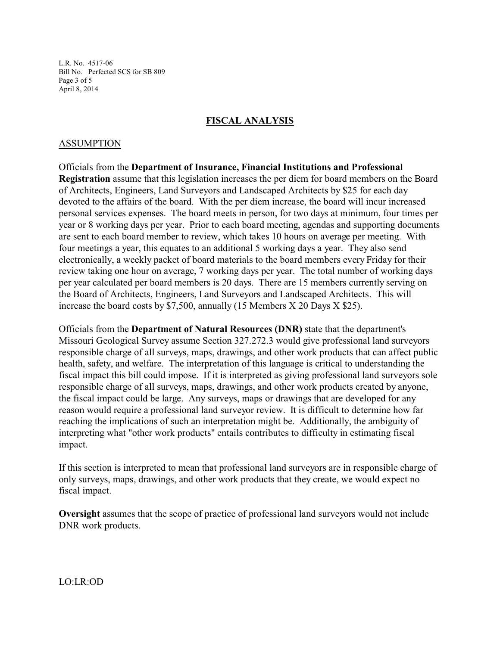L.R. No. 4517-06 Bill No. Perfected SCS for SB 809 Page 3 of 5 April 8, 2014

### **FISCAL ANALYSIS**

#### ASSUMPTION

Officials from the **Department of Insurance, Financial Institutions and Professional Registration** assume that this legislation increases the per diem for board members on the Board of Architects, Engineers, Land Surveyors and Landscaped Architects by \$25 for each day devoted to the affairs of the board. With the per diem increase, the board will incur increased personal services expenses. The board meets in person, for two days at minimum, four times per year or 8 working days per year. Prior to each board meeting, agendas and supporting documents are sent to each board member to review, which takes 10 hours on average per meeting. With four meetings a year, this equates to an additional 5 working days a year. They also send electronically, a weekly packet of board materials to the board members every Friday for their review taking one hour on average, 7 working days per year. The total number of working days per year calculated per board members is 20 days. There are 15 members currently serving on the Board of Architects, Engineers, Land Surveyors and Landscaped Architects. This will increase the board costs by \$7,500, annually (15 Members X 20 Days X \$25).

Officials from the **Department of Natural Resources (DNR)** state that the department's Missouri Geological Survey assume Section 327.272.3 would give professional land surveyors responsible charge of all surveys, maps, drawings, and other work products that can affect public health, safety, and welfare. The interpretation of this language is critical to understanding the fiscal impact this bill could impose. If it is interpreted as giving professional land surveyors sole responsible charge of all surveys, maps, drawings, and other work products created by anyone, the fiscal impact could be large. Any surveys, maps or drawings that are developed for any reason would require a professional land surveyor review. It is difficult to determine how far reaching the implications of such an interpretation might be. Additionally, the ambiguity of interpreting what "other work products" entails contributes to difficulty in estimating fiscal impact.

If this section is interpreted to mean that professional land surveyors are in responsible charge of only surveys, maps, drawings, and other work products that they create, we would expect no fiscal impact.

**Oversight** assumes that the scope of practice of professional land surveyors would not include DNR work products.

LO:LR:OD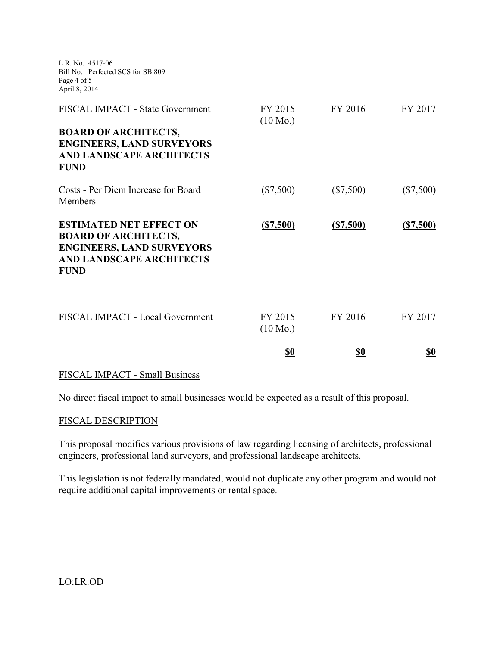| L.R. No. 4517-06<br>Bill No. Perfected SCS for SB 809<br>Page 4 of 5<br>April 8, 2014                                                                 |                               |             |             |
|-------------------------------------------------------------------------------------------------------------------------------------------------------|-------------------------------|-------------|-------------|
| FISCAL IMPACT - State Government<br><b>BOARD OF ARCHITECTS,</b><br><b>ENGINEERS, LAND SURVEYORS</b><br><b>AND LANDSCAPE ARCHITECTS</b><br><b>FUND</b> | FY 2015<br>$(10 \text{ Mo.})$ | FY 2016     | FY 2017     |
| Costs - Per Diem Increase for Board<br>Members                                                                                                        | $(\$7,500)$                   | $(\$7,500)$ | $(\$7,500)$ |
| <b>ESTIMATED NET EFFECT ON</b><br><b>BOARD OF ARCHITECTS,</b><br><b>ENGINEERS, LAND SURVEYORS</b><br><b>AND LANDSCAPE ARCHITECTS</b><br><b>FUND</b>   | ( \$7,500)                    | ( \$7,500)  | ( \$7,500)  |
| FISCAL IMPACT - Local Government                                                                                                                      | FY 2015<br>$(10 \text{ Mo.})$ | FY 2016     | FY 2017     |
|                                                                                                                                                       | <u>\$0</u>                    | \$0         | <u>\$0</u>  |

## FISCAL IMPACT - Small Business

No direct fiscal impact to small businesses would be expected as a result of this proposal.

#### FISCAL DESCRIPTION

This proposal modifies various provisions of law regarding licensing of architects, professional engineers, professional land surveyors, and professional landscape architects.

This legislation is not federally mandated, would not duplicate any other program and would not require additional capital improvements or rental space.